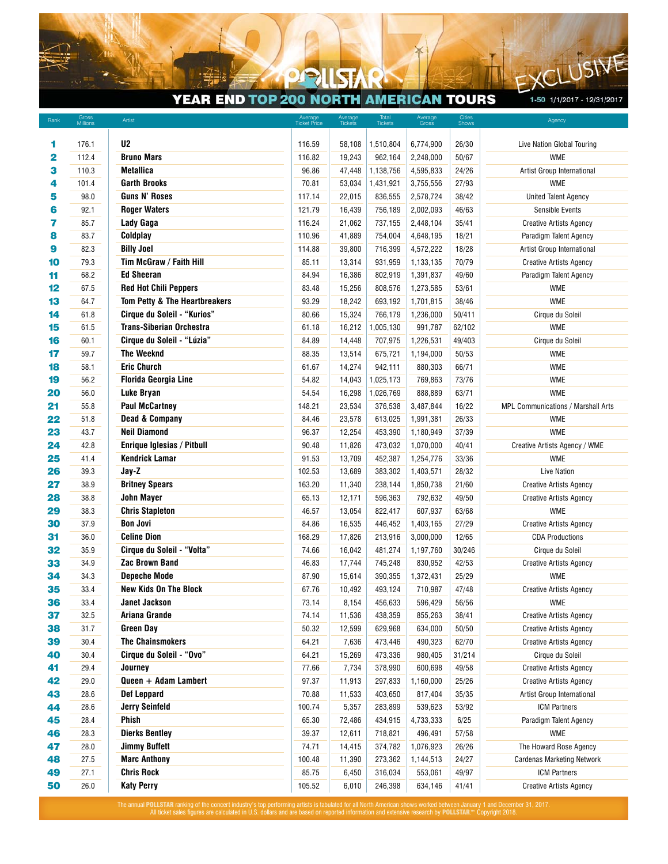## YEAR END TOP 200 NORTH AMERICAN TOURS

P  $\circ$ 

1-50 1/1/2017 - 12/31/2017

E)

LUSIVE

| Rank | Gross<br>Millions | Artist                                              | Average<br>Ticket Price | Average<br>Tickets | Total<br>Tickets | Average<br>Gross | Cities<br>Shows | Agency                             |
|------|-------------------|-----------------------------------------------------|-------------------------|--------------------|------------------|------------------|-----------------|------------------------------------|
|      |                   |                                                     |                         |                    |                  |                  |                 |                                    |
| 1    | 176.1             | U <sub>2</sub>                                      | 116.59                  | 58,108             | 1,510,804        | 6,774,900        | 26/30           | Live Nation Global Touring         |
| 2    | 112.4             | <b>Bruno Mars</b>                                   | 116.82                  | 19,243             | 962,164          | 2,248,000        | 50/67           | <b>WME</b>                         |
| з    | 110.3             | <b>Metallica</b>                                    | 96.86                   | 47,448             | 1,138,756        | 4,595,833        | 24/26           | Artist Group International         |
| 4    | 101.4             | <b>Garth Brooks</b>                                 | 70.81                   | 53,034             | 1,431,921        | 3,755,556        | 27/93           | <b>WME</b>                         |
| 5    | 98.0              | <b>Guns N' Roses</b>                                | 117.14                  | 22,015             | 836,555          | 2,578,724        | 38/42           | <b>United Talent Agency</b>        |
| 6    | 92.1              | <b>Roger Waters</b>                                 | 121.79                  | 16,439             | 756,189          | 2,002,093        | 46/63           | <b>Sensible Events</b>             |
| 7    | 85.7              | Lady Gaga                                           | 116.24                  | 21,062             | 737,155          | 2,448,104        | 35/41           | <b>Creative Artists Agency</b>     |
| 8    | 83.7              | Coldplay                                            | 110.96                  | 41,889             | 754,004          | 4,648,195        | 18/21           | Paradigm Talent Agency             |
| 9    | 82.3              | <b>Billy Joel</b>                                   | 114.88                  | 39,800             | 716,399          | 4,572,222        | 18/28           | Artist Group International         |
| 10   | 79.3              | Tim McGraw / Faith Hill                             | 85.11                   | 13,314             | 931,959          | 1,133,135        | 70/79           | <b>Creative Artists Agency</b>     |
| 11   | 68.2              | <b>Ed Sheeran</b>                                   | 84.94                   | 16,386             | 802,919          | 1,391,837        | 49/60           | Paradigm Talent Agency             |
| 12   | 67.5              | <b>Red Hot Chili Peppers</b>                        | 83.48                   | 15,256             | 808,576          | 1,273,585        | 53/61           | <b>WME</b>                         |
| 13   | 64.7              | Tom Petty & The Heartbreakers                       | 93.29                   | 18,242             | 693,192          | 1,701,815        | 38/46           | <b>WME</b>                         |
| 14   | 61.8              | Cirque du Soleil - "Kurios"                         | 80.66                   | 15,324             | 766,179          | 1,236,000        | 50/411          | Cirque du Soleil                   |
| 15   | 61.5              | <b>Trans-Siberian Orchestra</b>                     | 61.18                   | 16,212             | 1,005,130        | 991,787          | 62/102          | <b>WME</b>                         |
| 16   | 60.1              | Cirque du Soleil - "Lúzia"                          | 84.89                   | 14,448             | 707,975          | 1,226,531        | 49/403          | Cirque du Soleil                   |
| 17   | 59.7              | <b>The Weeknd</b>                                   | 88.35                   | 13,514             | 675,721          | 1,194,000        | 50/53           | <b>WME</b>                         |
| 18   | 58.1              | <b>Eric Church</b>                                  | 61.67                   | 14,274             | 942,111          | 880,303          | 66/71           | <b>WME</b>                         |
| 19   | 56.2              | <b>Florida Georgia Line</b>                         | 54.82                   | 14,043             | 1,025,173        | 769,863          | 73/76           | <b>WME</b>                         |
| 20   | 56.0              | Luke Bryan                                          | 54.54                   | 16,298             | 1,026,769        | 888,889          | 63/71           | <b>WME</b>                         |
| 21   | 55.8              | <b>Paul McCartney</b>                               | 148.21                  | 23,534             | 376,538          | 3,487,844        | 16/22           | MPL Communications / Marshall Arts |
| 22   | 51.8              | <b>Dead &amp; Company</b>                           |                         | 23,578             | 613,025          | 1,991,381        | 26/33           |                                    |
| 23   |                   | <b>Neil Diamond</b>                                 | 84.46<br>96.37          | 12,254             | 453,390          | 1,180,949        | 37/39           | <b>WME</b><br><b>WME</b>           |
|      | 43.7              |                                                     |                         |                    |                  |                  |                 |                                    |
| 24   | 42.8              | Enrique Iglesias / Pitbull<br><b>Kendrick Lamar</b> | 90.48                   | 11,826             | 473,032          | 1,070,000        | 40/41           | Creative Artists Agency / WME      |
| 25   | 41.4              |                                                     | 91.53                   | 13,709             | 452,387          | 1,254,776        | 33/36           | <b>WME</b>                         |
| 26   | 39.3              | Jay-Z                                               | 102.53                  | 13,689             | 383,302          | 1,403,571        | 28/32           | <b>Live Nation</b>                 |
| 27   | 38.9              | <b>Britney Spears</b>                               | 163.20                  | 11,340             | 238,144          | 1,850,738        | 21/60           | <b>Creative Artists Agency</b>     |
| 28   | 38.8              | <b>John Mayer</b>                                   | 65.13                   | 12,171             | 596,363          | 792,632          | 49/50           | <b>Creative Artists Agency</b>     |
| 29   | 38.3              | <b>Chris Stapleton</b>                              | 46.57                   | 13,054             | 822,417          | 607,937          | 63/68           | <b>WME</b>                         |
| 30   | 37.9              | <b>Bon Jovi</b>                                     | 84.86                   | 16,535             | 446,452          | 1,403,165        | 27/29           | <b>Creative Artists Agency</b>     |
| 31   | 36.0              | <b>Celine Dion</b>                                  | 168.29                  | 17,826             | 213,916          | 3,000,000        | 12/65           | <b>CDA Productions</b>             |
| 32   | 35.9              | Cirque du Soleil - "Volta"                          | 74.66                   | 16,042             | 481,274          | 1,197,760        | 30/246          | Cirque du Soleil                   |
| 33   | 34.9              | <b>Zac Brown Band</b>                               | 46.83                   | 17,744             | 745,248          | 830,952          | 42/53           | <b>Creative Artists Agency</b>     |
| 34   | 34.3              | <b>Depeche Mode</b>                                 | 87.90                   | 15,614             | 390,355          | 1,372,431        | 25/29           | <b>WME</b>                         |
| 35   | 33.4              | <b>New Kids On The Block</b>                        | 67.76                   | 10,492             | 493,124          | 710,987          | 47/48           | <b>Creative Artists Agency</b>     |
| 36   | 33.4              | Janet Jackson                                       | 73.14                   | 8,154              | 456,633          | 596,429          | 56/56           | WME                                |
| 37   | 32.5              | Ariana Grande                                       | 74.14                   | 11,536             | 438,359          | 855,263          | 38/41           | <b>Creative Artists Agency</b>     |
| 38   | 31.7              | <b>Green Day</b>                                    | 50.32                   | 12,599             | 629,968          | 634,000          | 50/50           | <b>Creative Artists Agency</b>     |
| 39   | 30.4              | <b>The Chainsmokers</b>                             | 64.21                   | 7,636              | 473,446          | 490,323          | 62/70           | <b>Creative Artists Agency</b>     |
| 40   | 30.4              | Cirque du Soleil - "Ovo"                            | 64.21                   | 15,269             | 473,336          | 980,405          | 31/214          | Cirque du Soleil                   |
| 41   | 29.4              | Journey                                             | 77.66                   | 7,734              | 378,990          | 600,698          | 49/58           | <b>Creative Artists Agency</b>     |
| 42   | 29.0              | Queen + Adam Lambert                                | 97.37                   | 11,913             | 297,833          | 1,160,000        | 25/26           | <b>Creative Artists Agency</b>     |
| 43   | 28.6              | <b>Def Leppard</b>                                  | 70.88                   | 11,533             | 403,650          | 817,404          | 35/35           | Artist Group International         |
| 44   | 28.6              | <b>Jerry Seinfeld</b>                               | 100.74                  | 5,357              | 283,899          | 539,623          | 53/92           | <b>ICM Partners</b>                |
| 45   | 28.4              | Phish                                               | 65.30                   | 72,486             | 434,915          | 4,733,333        | 6/25            | Paradigm Talent Agency             |
| 46   | 28.3              | <b>Dierks Bentley</b>                               | 39.37                   | 12,611             | 718,821          | 496,491          | 57/58           | WME                                |
| 47   | 28.0              | <b>Jimmy Buffett</b>                                | 74.71                   | 14,415             | 374,782          | 1,076,923        | 26/26           | The Howard Rose Agency             |
| 48   | 27.5              | <b>Marc Anthony</b>                                 | 100.48                  | 11,390             | 273,362          | 1,144,513        | 24/27           | <b>Cardenas Marketing Network</b>  |
| 49   | 27.1              | <b>Chris Rock</b>                                   | 85.75                   | 6,450              | 316,034          | 553,061          | 49/97           | ICM Partners                       |
| 50   | 26.0              | <b>Katy Perry</b>                                   | 105.52                  | 6,010              | 246,398          | 634,146          | 41/41           | <b>Creative Artists Agency</b>     |

The annual **POLLSTAR** ranking of the concert industry's top performing artists is tabulated for all North American shows worked between January 1 and December 31, 2017.<br>All ticket sales figures are calculated in U.S. dolla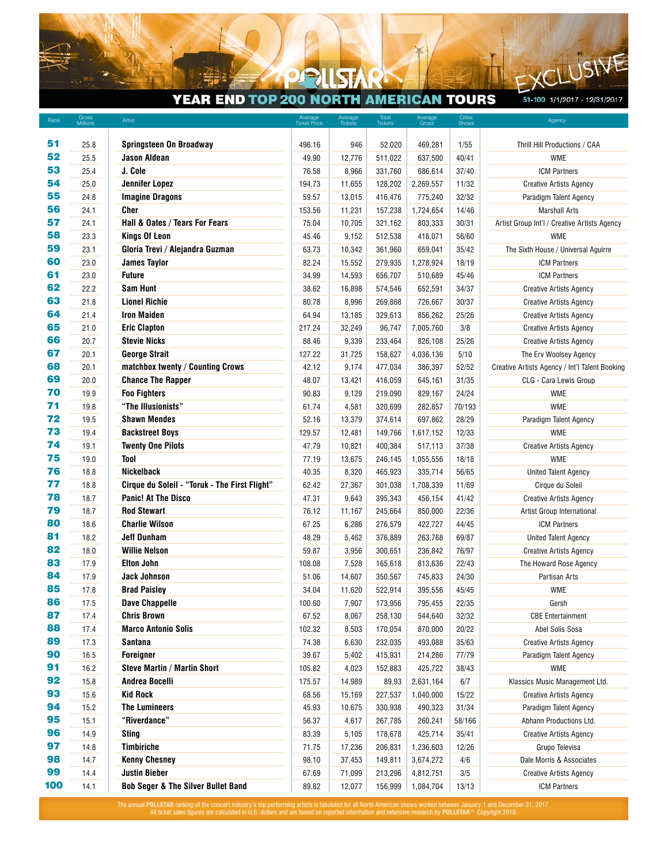## YEAR END TOP 200 NORTH AMERICAN TOURS

 $\circ$  $\blacktriangleright$ 

51-100 1/1/2017 - 12/31/2017

 $\mathsf{E}$ 

USIVE

| Rank | Gross<br>Millions | Artist                                        | Average<br>Ticket Price | Average<br>Tickets | Total<br>Tickets | Average<br>Gross | Cities<br>Shows | Agency                                         |
|------|-------------------|-----------------------------------------------|-------------------------|--------------------|------------------|------------------|-----------------|------------------------------------------------|
|      |                   |                                               |                         |                    |                  |                  |                 |                                                |
| 51   | 25.8              | <b>Springsteen On Broadway</b>                | 496.16                  | 946                | 52,020           | 469,281          | 1/55            | Thrill Hill Productions / CAA                  |
| 52   | 25.5              | <b>Jason Aldean</b>                           | 49.90                   | 12,776             | 511,022          | 637,500          | 40/41           | <b>WME</b>                                     |
| 53   | 25.4              | J. Cole                                       | 76.58                   | 8,966              | 331,760          | 686,614          | 37/40           | <b>ICM Partners</b>                            |
| 54   | 25.0              | <b>Jennifer Lopez</b>                         | 194.73                  | 11,655             | 128,202          | 2,269,557        | 11/32           | <b>Creative Artists Agency</b>                 |
| 55   | 24.8              | <b>Imagine Dragons</b>                        | 59.57                   | 13,015             | 416,476          | 775,240          | 32/32           | Paradigm Talent Agency                         |
| 56   | 24.1              | <b>Cher</b>                                   | 153.56                  | 11,231             | 157,238          | 1,724,654        | 14/46           | Marshall Arts                                  |
| 57   | 24.1              | Hall & Oates / Tears For Fears                | 75.04                   | 10,705             | 321,162          | 803,333          | 30/31           | Artist Group Int'l / Creative Artists Agency   |
| 58   | 23.3              | <b>Kings Of Leon</b>                          | 45.46                   | 9,152              | 512,538          | 416,071          | 56/60           | <b>WME</b>                                     |
| 59   | 23.1              | Gloria Trevi / Alejandra Guzman               | 63.73                   | 10,342             | 361,960          | 659,041          | 35/42           | The Sixth House / Universal Aguirre            |
| 60   | 23.0              | <b>James Taylor</b>                           | 82.24                   | 15,552             | 279,935          | 1,278,924        | 18/19           | <b>ICM Partners</b>                            |
| 61   | 23.0              | <b>Future</b>                                 | 34.99                   | 14,593             | 656,707          | 510,689          | 45/46           | <b>ICM Partners</b>                            |
| 62   | 22.2              | <b>Sam Hunt</b>                               | 38.62                   | 16,898             | 574,546          | 652,591          | 34/37           | <b>Creative Artists Agency</b>                 |
| 63   | 21.8              | <b>Lionel Richie</b>                          | 80.78                   | 8,996              | 269,868          | 726,667          | 30/37           | <b>Creative Artists Agency</b>                 |
| 64   | 21.4              | <b>Iron Maiden</b>                            | 64.94                   | 13,185             | 329,613          | 856,262          | 25/26           | <b>Creative Artists Agency</b>                 |
| 65   | 21.0              | <b>Eric Clapton</b>                           | 217.24                  | 32,249             | 96,747           | 7,005,760        | 3/8             | <b>Creative Artists Agency</b>                 |
| 66   | 20.7              | <b>Stevie Nicks</b>                           | 88.46                   | 9,339              | 233,464          | 826,108          | 25/26           | <b>Creative Artists Agency</b>                 |
| 67   | 20.1              | <b>George Strait</b>                          | 127.22                  | 31,725             | 158,627          | 4,036,136        | 5/10            | The Erv Woolsey Agency                         |
| 68   | 20.1              | matchbox twenty / Counting Crows              | 42.12                   | 9,174              | 477,034          | 386,397          | 52/52           | Creative Artists Agency / Int'l Talent Booking |
| 69   | 20.0              | <b>Chance The Rapper</b>                      | 48.07                   | 13,421             | 416,059          | 645,161          | 31/35           | CLG - Cara Lewis Group                         |
| 70   | 19.9              | <b>Foo Fighters</b>                           | 90.83                   | 9,129              | 219,090          | 829,167          | 24/24           | <b>WME</b>                                     |
| 71   | 19.8              | "The Illusionists"                            | 61.74                   | 4,581              | 320,699          | 282,857          | 70/193          | <b>WME</b>                                     |
| 72   | 19.5              | <b>Shawn Mendes</b>                           | 52.16                   | 13,379             | 374,614          | 697,862          | 28/29           | Paradigm Talent Agency                         |
| 73   |                   | <b>Backstreet Boys</b>                        | 129.57                  |                    | 149,766          |                  | 12/33           | <b>WME</b>                                     |
| 74   | 19.4              |                                               |                         | 12,481             |                  | 1,617,152        |                 |                                                |
| 75   | 19.1              | <b>Twenty One Pilots</b><br>Tool              | 47.79                   | 10,821             | 400,384          | 517,113          | 37/38           | <b>Creative Artists Agency</b>                 |
| 76   | 19.0              |                                               | 77.19                   | 13,675             | 246,145          | 1,055,556        | 18/18           | <b>WME</b>                                     |
|      | 18.8              | <b>Nickelback</b>                             | 40.35                   | 8,320              | 465,923          | 335,714          | 56/65           | <b>United Talent Agency</b>                    |
| 77   | 18.8              | Cirque du Soleil - "Toruk - The First Flight" | 62.42                   | 27,367             | 301,038          | 1,708,339        | 11/69           | Cirque du Soleil                               |
| 78   | 18.7              | <b>Panic! At The Disco</b>                    | 47.31                   | 9,643              | 395,343          | 456,154          | 41/42           | <b>Creative Artists Agency</b>                 |
| 79   | 18.7              | <b>Rod Stewart</b>                            | 76.12                   | 11,167             | 245,664          | 850,000          | 22/36           | Artist Group International                     |
| 80   | 18.6              | <b>Charlie Wilson</b>                         | 67.25                   | 6,286              | 276,579          | 422,727          | 44/45           | <b>ICM Partners</b>                            |
| 81   | 18.2              | <b>Jeff Dunham</b>                            | 48.29                   | 5,462              | 376,889          | 263,768          | 69/87           | <b>United Talent Agency</b>                    |
| 82   | 18.0              | <b>Willie Nelson</b>                          | 59.87                   | 3,956              | 300,651          | 236,842          | 76/97           | <b>Creative Artists Agency</b>                 |
| 83   | 17.9              | <b>Elton John</b>                             | 108.08                  | 7,528              | 165,618          | 813,636          | 22/43           | The Howard Rose Agency                         |
| 84   | 17.9              | <b>Jack Johnson</b>                           | 51.06                   | 14,607             | 350,567          | 745,833          | 24/30           | Partisan Arts                                  |
| 85   | 17.8              | <b>Brad Paisley</b>                           | 34.04                   | 11,620             | 522,914          | 395,556          | 45/45           | <b>WME</b>                                     |
| 86   | 17.5              | <b>Dave Chappelle</b>                         | 100.60                  | 7,907              | 173,956          | 795,455          | 22/35           | Gersh                                          |
| 87   | 17.4              | <b>Chris Brown</b>                            | 67.52                   | 8,067              | 258,130          | 544,640          | 32/32           | <b>CBE Entertainment</b>                       |
| 88   | 17.4              | <b>Marco Antonio Solis</b>                    | 102.32                  | 8,503              | 170,054          | 870,000          | 20/22           | Abel Solis Sosa                                |
| 89   | 17.3              | <b>Santana</b>                                | 74.38                   | 6,630              | 232,035          | 493,088          | 35/63           | <b>Creative Artists Agency</b>                 |
| 90   | 16.5              | <b>Foreigner</b>                              | 39.67                   | 5,402              | 415,931          | 214,286          | 77/79           | Paradigm Talent Agency                         |
| 91   | 16.2              | <b>Steve Martin / Martin Short</b>            | 105.82                  | 4,023              | 152,883          | 425,722          | 38/43           | <b>WME</b>                                     |
| 92   | 15.8              | Andrea Bocelli                                | 175.57                  | 14,989             | 89,93            | 2,631,164        | 6/7             | Klassics Music Management Ltd.                 |
| 93   | 15.6              | <b>Kid Rock</b>                               | 68.56                   | 15,169             | 227,537          | 1,040,000        | 15/22           | <b>Creative Artists Agency</b>                 |
| 94   | 15.2              | <b>The Lumineers</b>                          | 45.93                   | 10,675             | 330,938          | 490,323          | 31/34           | Paradigm Talent Agency                         |
| 95   | 15.1              | "Riverdance"                                  | 56.37                   | 4,617              | 267,785          | 260,241          | 58/166          | Abhann Productions Ltd.                        |
| 96   | 14.9              | <b>Sting</b>                                  | 83.39                   | 5,105              | 178,678          | 425,714          | 35/41           | <b>Creative Artists Agency</b>                 |
| 97   | 14.8              | <b>Timbiriche</b>                             | 71.75                   | 17,236             | 206,831          | 1,236,603        | 12/26           | Grupo Televisa                                 |
| 98   | 14.7              | <b>Kenny Chesney</b>                          | 98.10                   | 37,453             | 149,811          | 3,674,272        | 4/6             | Dale Morris & Associates                       |
| 99   | 14.4              | <b>Justin Bieber</b>                          | 67.69                   | 71,099             | 213,296          | 4,812,751        | 3/5             | <b>Creative Artists Agency</b>                 |
| 100  | 14.1              | <b>Bob Seger &amp; The Silver Bullet Band</b> | 89.82                   | 12,077             | 156,999          | 1,084,704        | 13/13           | <b>ICM Partners</b>                            |

The annual **POLLSTAR** ranking of the concert industry's top performing artists is tabulated for all North American shows worked between January 1 and December 31, 2017.<br>All ticket sales figures are calculated in U.S. dolla